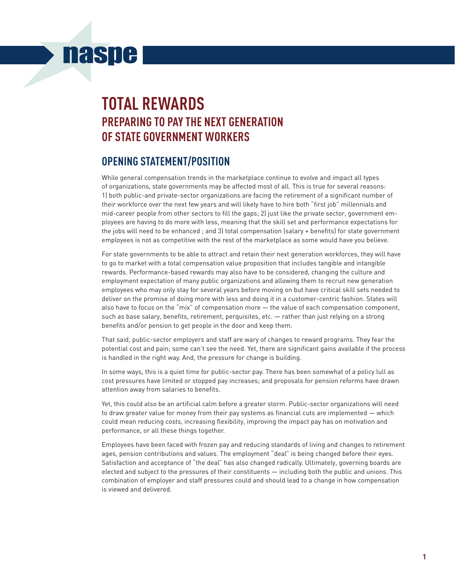# **naspe**

## **Total Rewards Preparing to Pay the Next Generation of State Government Workers**

## **Opening Statement/Position**

While general compensation trends in the marketplace continue to evolve and impact all types of organizations, state governments may be affected most of all. This is true for several reasons: 1) both public-and private-sector organizations are facing the retirement of a significant number of their workforce over the next few years and will likely have to hire both "first job" millennials and mid-career people from other sectors to fill the gaps; 2) just like the private sector, government employees are having to do more with less, meaning that the skill set and performance expectations for the jobs will need to be enhanced ; and 3) total compensation (salary + benefits) for state government employees is not as competitive with the rest of the marketplace as some would have you believe.

For state governments to be able to attract and retain their next generation workforces, they will have to go to market with a total compensation value proposition that includes tangible and intangible rewards. Performance-based rewards may also have to be considered, changing the culture and employment expectation of many public organizations and allowing them to recruit new generation employees who may only stay for several years before moving on but have critical skill sets needed to deliver on the promise of doing more with less and doing it in a customer-centric fashion. States will also have to focus on the "mix" of compensation more — the value of each compensation component, such as base salary, benefits, retirement, perquisites, etc. — rather than just relying on a strong benefits and/or pension to get people in the door and keep them.

That said, public-sector employers and staff are wary of changes to reward programs. They fear the potential cost and pain; some can't see the need. Yet, there are significant gains available if the process is handled in the right way. And, the pressure for change is building.

In some ways, this is a quiet time for public-sector pay. There has been somewhat of a policy lull as cost pressures have limited or stopped pay increases; and proposals for pension reforms have drawn attention away from salaries to benefits.

Yet, this could also be an artificial calm before a greater storm. Public-sector organizations will need to draw greater value for money from their pay systems as financial cuts are implemented — which could mean reducing costs, increasing flexibility, improving the impact pay has on motivation and performance, or all these things together.

Employees have been faced with frozen pay and reducing standards of living and changes to retirement ages, pension contributions and values. The employment "deal" is being changed before their eyes. Satisfaction and acceptance of "the deal" has also changed radically. Ultimately, governing boards are elected and subject to the pressures of their constituents — including both the public and unions. This combination of employer and staff pressures could and should lead to a change in how compensation is viewed and delivered.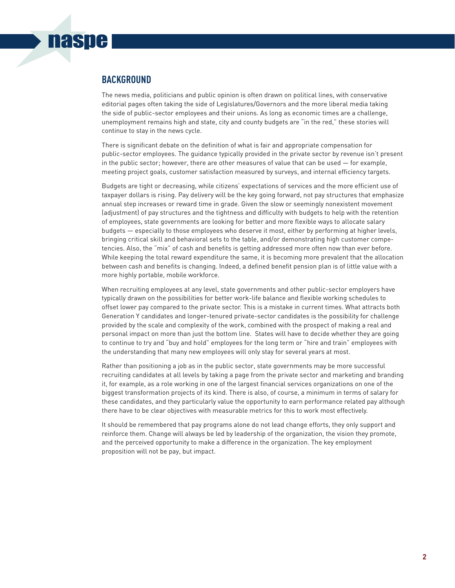#### **background**

**nasne** 

The news media, politicians and public opinion is often drawn on political lines, with conservative editorial pages often taking the side of Legislatures/Governors and the more liberal media taking the side of public-sector employees and their unions. As long as economic times are a challenge, unemployment remains high and state, city and county budgets are "in the red," these stories will continue to stay in the news cycle.

There is significant debate on the definition of what is fair and appropriate compensation for public-sector employees. The guidance typically provided in the private sector by revenue isn't present in the public sector; however, there are other measures of value that can be used — for example, meeting project goals, customer satisfaction measured by surveys, and internal efficiency targets.

Budgets are tight or decreasing, while citizens' expectations of services and the more efficient use of taxpayer dollars is rising. Pay delivery will be the key going forward, not pay structures that emphasize annual step increases or reward time in grade. Given the slow or seemingly nonexistent movement (adjustment) of pay structures and the tightness and difficulty with budgets to help with the retention of employees, state governments are looking for better and more flexible ways to allocate salary budgets — especially to those employees who deserve it most, either by performing at higher levels, bringing critical skill and behavioral sets to the table, and/or demonstrating high customer competencies. Also, the "mix" of cash and benefits is getting addressed more often now than ever before. While keeping the total reward expenditure the same, it is becoming more prevalent that the allocation between cash and benefits is changing. Indeed, a defined benefit pension plan is of little value with a more highly portable, mobile workforce.

When recruiting employees at any level, state governments and other public-sector employers have typically drawn on the possibilities for better work-life balance and flexible working schedules to offset lower pay compared to the private sector. This is a mistake in current times. What attracts both Generation Y candidates and longer-tenured private-sector candidates is the possibility for challenge provided by the scale and complexity of the work, combined with the prospect of making a real and personal impact on more than just the bottom line. States will have to decide whether they are going to continue to try and "buy and hold" employees for the long term or "hire and train" employees with the understanding that many new employees will only stay for several years at most.

Rather than positioning a job as in the public sector, state governments may be more successful recruiting candidates at all levels by taking a page from the private sector and marketing and branding it, for example, as a role working in one of the largest financial services organizations on one of the biggest transformation projects of its kind. There is also, of course, a minimum in terms of salary for these candidates, and they particularly value the opportunity to earn performance related pay although there have to be clear objectives with measurable metrics for this to work most effectively.

It should be remembered that pay programs alone do not lead change efforts, they only support and reinforce them. Change will always be led by leadership of the organization, the vision they promote, and the perceived opportunity to make a difference in the organization. The key employment proposition will not be pay, but impact.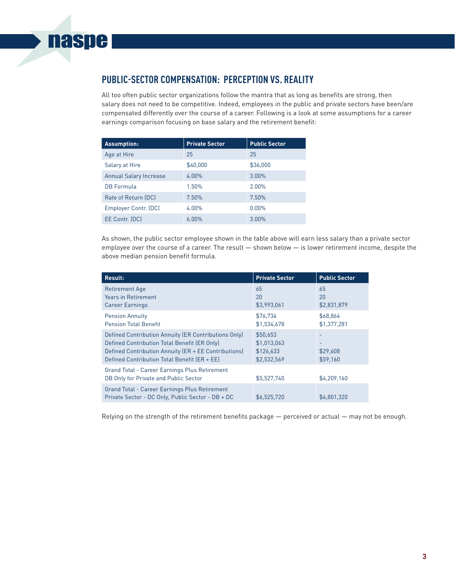## **Public-Sector Compensation: Perception vs. Reality**

All too often public sector organizations follow the mantra that as long as benefits are strong, then salary does not need to be competitive. Indeed, employees in the public and private sectors have been/are compensated differently over the course of a career. Following is a look at some assumptions for a career earnings comparison focusing on base salary and the retirement benefit:

| <b>Assumption:</b>            | <b>Private Sector</b> | <b>Public Sector</b> |
|-------------------------------|-----------------------|----------------------|
| Age at Hire                   | 25                    | 25                   |
| Salary at Hire                | \$40,000              | \$36,000             |
| <b>Annual Salary Increase</b> | $4.00\%$              | 3.00%                |
| <b>DB</b> Formula             | 1.50%                 | $2.00\%$             |
| Rate of Return (DC)           | 7.50%                 | 7.50%                |
| Employer Contr. (DC)          | $4.00\%$              | $0.00\%$             |
| EE Contr. (DC)                | 6.00%                 | 3.00%                |

As shown, the public sector employee shown in the table above will earn less salary than a private sector employee over the course of a career. The result — shown below — is lower retirement income, despite the above median pension benefit formula.

| Result:                                                                                                                                                                                                      | <b>Private Sector</b>                               | <b>Public Sector</b>      |
|--------------------------------------------------------------------------------------------------------------------------------------------------------------------------------------------------------------|-----------------------------------------------------|---------------------------|
| <b>Retirement Age</b><br><b>Years in Retirement</b><br><b>Career Earnings</b>                                                                                                                                | 65<br>20<br>\$3,993,061                             | 65<br>20<br>\$2,831,879   |
| <b>Pension Annuity</b><br><b>Pension Total Benefit</b>                                                                                                                                                       | \$76,734<br>\$1,534,678                             | \$68,864<br>\$1,377,281   |
| Defined Contribution Annuity (ER Contributions Only)<br>Defined Contribution Total Benefit (ER Only)<br>Defined Contribution Annuity (ER + EE Contributions)<br>Defined Contribution Total Benefit (ER + EE) | \$50,653<br>\$1,013,063<br>\$126,633<br>\$2,532,569 | ٠<br>\$29,608<br>\$59,160 |
| Grand Total - Career Earnings Plus Retirement<br>DB Only for Private and Public Sector                                                                                                                       | \$5,527,740                                         | \$4,209,160               |
| <b>Grand Total - Career Earnings Plus Retirement</b><br>Private Sector - DC Only, Public Sector - DB + DC                                                                                                    | \$6,525,720                                         | \$4,801,320               |

Relying on the strength of the retirement benefits package — perceived or actual — may not be enough.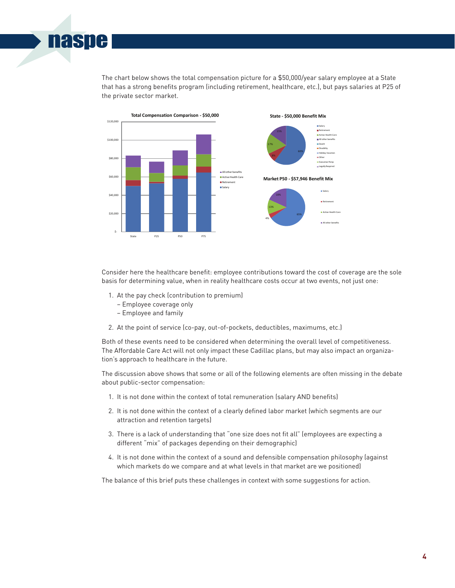The chart below shows the total compensation picture for a \$50,000/year salary employee at a State that has a strong benefits program (including retirement, healthcare, etc.), but pays salaries at P25 of the private sector market.



Consider here the healthcare benefit: employee contributions toward the cost of coverage are the sole basis for determining value, when in reality healthcare costs occur at two events, not just one:

- 1. At the pay check (contribution to premium)
	- − Employee coverage only
	- − Employee and family

**naspe** 

2. At the point of service (co-pay, out-of-pockets, deductibles, maximums, etc.)

Both of these events need to be considered when determining the overall level of competitiveness. The Affordable Care Act will not only impact these Cadillac plans, but may also impact an organization's approach to healthcare in the future.

The discussion above shows that some or all of the following elements are often missing in the debate about public-sector compensation:

- 1. It is not done within the context of total remuneration (salary AND benefits)
- 2. It is not done within the context of a clearly defined labor market (which segments are our attraction and retention targets)
- 3. There is a lack of understanding that "one size does not fit all" (employees are expecting a different "mix" of packages depending on their demographic)
- 4. It is not done within the context of a sound and defensible compensation philosophy (against which markets do we compare and at what levels in that market are we positioned)

The balance of this brief puts these challenges in context with some suggestions for action.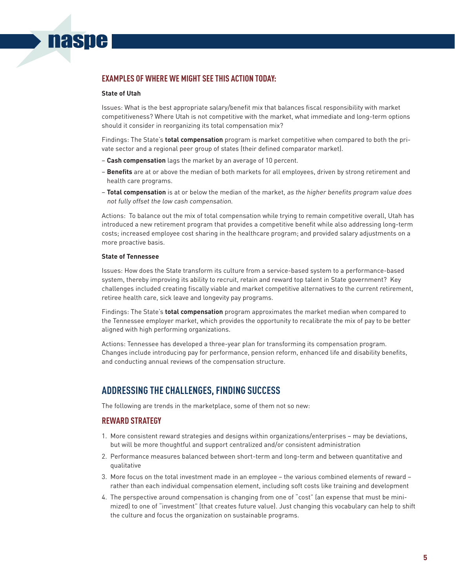#### **examples of where we might see this action today:**

#### **State of Utah**

**nasne** 

Issues: What is the best appropriate salary/benefit mix that balances fiscal responsibility with market competitiveness? Where Utah is not competitive with the market, what immediate and long-term options should it consider in reorganizing its total compensation mix?

Findings: The State's **total compensation** program is market competitive when compared to both the private sector and a regional peer group of states (their defined comparator market).

- − **Cash compensation** lags the market by an average of 10 percent.
- − **Benefits** are at or above the median of both markets for all employees, driven by strong retirement and health care programs.
- − **Total compensation** is at or below the median of the market, as the higher benefits program value does not fully offset the low cash compensation.

Actions: To balance out the mix of total compensation while trying to remain competitive overall, Utah has introduced a new retirement program that provides a competitive benefit while also addressing long-term costs; increased employee cost sharing in the healthcare program; and provided salary adjustments on a more proactive basis.

#### **State of Tennessee**

Issues: How does the State transform its culture from a service-based system to a performance-based system, thereby improving its ability to recruit, retain and reward top talent in State government? Key challenges included creating fiscally viable and market competitive alternatives to the current retirement, retiree health care, sick leave and longevity pay programs.

Findings: The State's **total compensation** program approximates the market median when compared to the Tennessee employer market, which provides the opportunity to recalibrate the mix of pay to be better aligned with high performing organizations.

Actions: Tennessee has developed a three-year plan for transforming its compensation program. Changes include introducing pay for performance, pension reform, enhanced life and disability benefits, and conducting annual reviews of the compensation structure.

### **Addressing the Challenges, Finding Success**

The following are trends in the marketplace, some of them not so new:

#### **Reward Strategy**

- 1. More consistent reward strategies and designs within organizations/enterprises may be deviations, but will be more thoughtful and support centralized and/or consistent administration
- 2. Performance measures balanced between short-term and long-term and between quantitative and qualitative
- 3. More focus on the total investment made in an employee the various combined elements of reward rather than each individual compensation element, including soft costs like training and development
- 4. The perspective around compensation is changing from one of "cost" (an expense that must be minimized) to one of "investment" (that creates future value). Just changing this vocabulary can help to shift the culture and focus the organization on sustainable programs.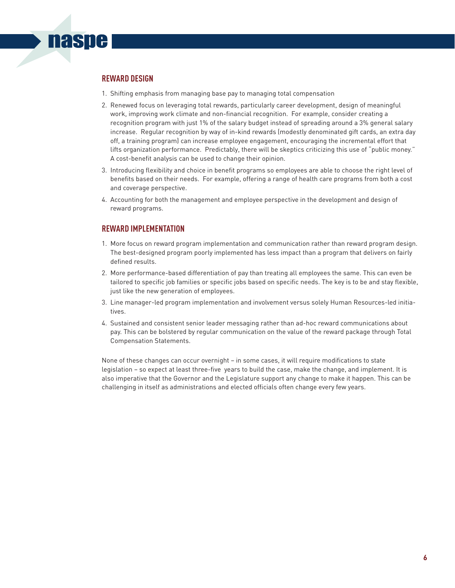#### **Reward Design**

**naspe** 

- 1. Shifting emphasis from managing base pay to managing total compensation
- 2. Renewed focus on leveraging total rewards, particularly career development, design of meaningful work, improving work climate and non-financial recognition. For example, consider creating a recognition program with just 1% of the salary budget instead of spreading around a 3% general salary increase. Regular recognition by way of in-kind rewards (modestly denominated gift cards, an extra day off, a training program) can increase employee engagement, encouraging the incremental effort that lifts organization performance. Predictably, there will be skeptics criticizing this use of "public money." A cost-benefit analysis can be used to change their opinion.
- 3. Introducing flexibility and choice in benefit programs so employees are able to choose the right level of benefits based on their needs. For example, offering a range of health care programs from both a cost and coverage perspective.
- 4. Accounting for both the management and employee perspective in the development and design of reward programs.

#### **Reward Implementation**

- 1. More focus on reward program implementation and communication rather than reward program design. The best-designed program poorly implemented has less impact than a program that delivers on fairly defined results.
- 2. More performance-based differentiation of pay than treating all employees the same. This can even be tailored to specific job families or specific jobs based on specific needs. The key is to be and stay flexible, just like the new generation of employees.
- 3. Line manager-led program implementation and involvement versus solely Human Resources-led initiatives.
- 4. Sustained and consistent senior leader messaging rather than ad-hoc reward communications about pay. This can be bolstered by regular communication on the value of the reward package through Total Compensation Statements.

None of these changes can occur overnight – in some cases, it will require modifications to state legislation – so expect at least three-five years to build the case, make the change, and implement. It is also imperative that the Governor and the Legislature support any change to make it happen. This can be challenging in itself as administrations and elected officials often change every few years.